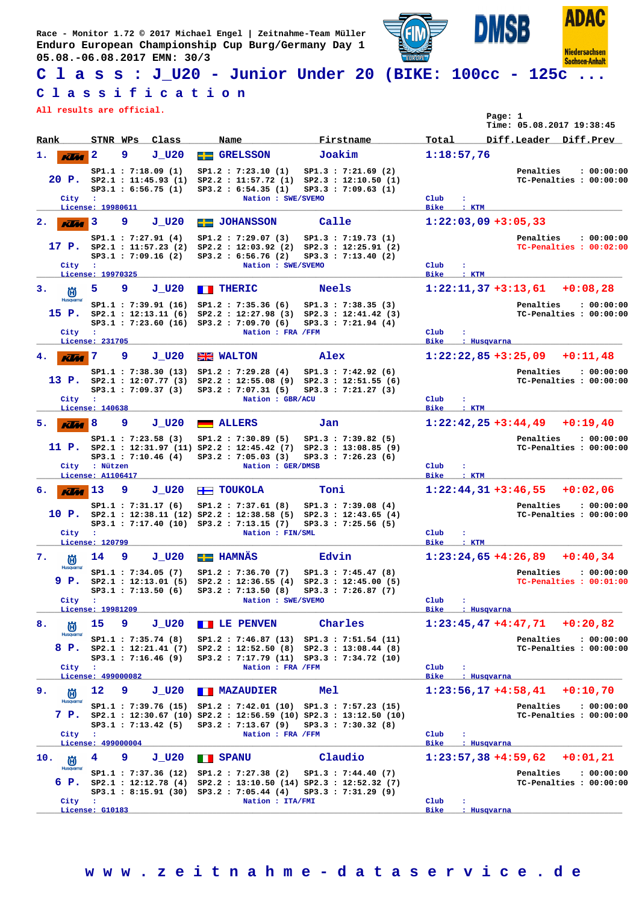

# **C l a s s : J\_U20 - Junior Under 20 (BIKE: 100cc - 125c ...**

#### **C l a s s i f i c a t i o n**

**All results are official.**

|                                    |                                                                                                                      |                                                                                                               |                                                                                                                                               |                                     | Page: 1<br>Time: 05.08.2017 19:38:45                                       |
|------------------------------------|----------------------------------------------------------------------------------------------------------------------|---------------------------------------------------------------------------------------------------------------|-----------------------------------------------------------------------------------------------------------------------------------------------|-------------------------------------|----------------------------------------------------------------------------|
| Rank                               | Class<br>STNR WPs                                                                                                    | Name                                                                                                          | Firstname                                                                                                                                     | Total                               | Diff.Leader Diff.Prev                                                      |
| 1.<br>KV.                          | 9<br>2<br>$J$ $U20$                                                                                                  | <b>GRELSSON</b><br>$=$                                                                                        | Joakim                                                                                                                                        | 1:18:57,76                          |                                                                            |
| 20 P.<br>City                      | SP1.1 : 7:18.09(1)<br>SP2.1 : 11:45.93(1)<br>SP3.1 : 6:56.75(1)<br>$\sim$ :<br>License: 19980611                     | SP1.2 : 7:23.10(1)<br>SP2.2 : 11:57.72(1)<br>SP3.2 : 6:54.35 (1)<br>Nation : SWE/SVEMO                        | SP1.3 : 7:21.69 (2)<br>SP2.3 : 12:10.50(1)<br>SP3.3 : 7:09.63(1)                                                                              | Club<br>÷<br><b>Bike</b><br>: KTM   | Penalties<br>: 00:00:00<br>TC-Penalties : 00:00:00                         |
| 2.<br><b>KUTA</b>                  | 9<br>$J$ $U20$<br>3                                                                                                  | <b>Executed JOHANSSON</b>                                                                                     | Calle                                                                                                                                         |                                     | $1:22:03,09$ +3:05,33                                                      |
| City                               | SP1.1 : 7:27.91(4)<br>17 <b>P.</b> $SP2.1 : 11:57.23 (2)$<br>$SP3.1$ : 7:09.16 (2)<br>$\cdot$ :<br>License: 19970325 | SP1.2 : 7:29.07(3)<br>SP2.2 : 12:03.92(2)<br>SP3.2 : 6:56.76 (2)<br>Nation : SWE/SVEMO                        | SP1.3 : 7:19.73(1)<br>SP2.3 : 12:25.91 (2)<br>SP3.3 : 7:13.40 (2)                                                                             | Club<br>÷<br><b>Bike</b><br>: KTM   | Penalties<br>: 00:00:00<br>TC-Penalties : 00:02:00                         |
| з.<br>尚                            | 5<br>9<br>$J$ $U20$                                                                                                  | <b>THERIC</b>                                                                                                 | <b>Neels</b>                                                                                                                                  |                                     | $1:22:11,37+3:13,61$<br>$+0:08,28$                                         |
| <b>Husqvarna</b><br>15 P.<br>City  | SP1.1 : 7:39.91 (16)<br>SP2.1 : 12:13.11 (6)<br>$SP3.1$ : 7:23.60 (16)<br>$\mathbf{r}$                               | SP1.2 : 7:35.36(6)<br>SP2.2 : 12:27.98(3)<br>SP3.2 : 7:09.70(6)<br>Nation : FRA /FFM                          | SP1.3 : 7:38.35(3)<br>SP2.3 : 12:41.42 (3)<br>SP3.3 : 7:21.94(4)                                                                              | Club                                | Penalties<br>: 00:00:00<br>TC-Penalties : 00:00:00                         |
|                                    | License: 231705                                                                                                      |                                                                                                               |                                                                                                                                               | <b>Bike</b>                         | : Husqvarna                                                                |
| <b>Klia</b>                        | 7<br>9<br>$J_U20$                                                                                                    | <b>EXECUTER</b> WALTON                                                                                        | Alex                                                                                                                                          |                                     | $1:22:22,85+3:25,09$<br>$+0:11,48$                                         |
| City                               | SP1.1: 7:38.30 (13)<br>13 P. $SP2.1 : 12:07.77(3)$<br>SP3.1 : 7:09.37(3)<br>$\mathbf{r}$                             | SP1.2 : 7:29.28(4)<br>SP2.2 : 12:55.08(9)<br>SP3.2 : 7:07.31 (5)<br>Nation : GBR/ACU                          | SP1.3 : 7:42.92(6)<br>SP2.3 : 12:51.55(6)<br>SP3.3 : 7:21.27(3)                                                                               | Club<br>÷                           | Penalties<br>: 00:00:00<br>TC-Penalties : 00:00:00                         |
|                                    | License: 140638<br>J U20                                                                                             |                                                                                                               |                                                                                                                                               | <b>Bike</b><br>$:$ KTM              | $+0:19.40$                                                                 |
| 5.<br><b>KLM</b>                   | 9<br>8<br>SP1.1 : 7:23.58(3)<br>11 P. $SP2.1 : 12:31.97 (11) SP2.2 : 12:45.42 (7)$<br>SP3.1 : 7:10.46(4)             | <b>ALLERS</b><br>SP1.2 : 7:30.89(5)<br>SP3.2 : 7:05.03 (3)                                                    | Jan<br>SP1.3 : 7:39.82(5)<br>SP2.3 : 13:08.85(9)<br>SP3.3 : 7:26.23(6)                                                                        |                                     | $1:22:42,25+3:44,49$<br>Penalties<br>: 00:00:00<br>TC-Penalties : 00:00:00 |
| City                               | : Nützen<br>License: A1106417                                                                                        | Nation : GER/DMSB                                                                                             |                                                                                                                                               | Club<br><b>Bike</b><br>$:$ KTM      |                                                                            |
| б.<br><b>Klas</b>                  | 13<br>9<br>$J_U20$                                                                                                   | <b>H</b> TOUKOLA                                                                                              | Toni                                                                                                                                          |                                     | $1:22:44,31+3:46,55$<br>$+0:02,06$                                         |
| 10 P.<br>City                      | SP1.1 : 7:31.17(6)<br>SP3.1 : 7:17.40 (10)<br>$\mathbf{r}$<br>License: 120799                                        | SP1.2 : 7:37.61(8)<br>$SP2.1 : 12:38.11 (12) SP2.2 : 12:38.58 (5)$<br>SP3.2 : 7:13.15 (7)<br>Nation : FIN/SML | SP1.3 : 7:39.08(4)<br>SP2.3 : 12:43.65(4)<br>SP3.3 : 7:25.56(5)                                                                               | Club<br>÷<br><b>Bike</b><br>$:$ KTM | Penalties<br>: 00:00:00<br>TC-Penalties : 00:00:00                         |
| 7.<br>尚                            | 9<br>$J$ $U20$<br>14                                                                                                 | <b>EE HAMNÄS</b>                                                                                              | Edvin                                                                                                                                         |                                     | $1:23:24,65+4:26,89$<br>$+0:40,34$                                         |
| <b>Husqvarna</b><br>9 P.<br>City : | SP1.1: 7:34.05 (7)<br>SP2.1 : 12:13.01 (5)<br>SP3.1 : 7:13.50(6)                                                     | SP1.2 : 7:36.70(7)<br>SP2.2 : 12:36.55(4)<br>SP3.2 : 7:13.50(8)<br>Nation : SWE/SVEMO                         | SP1.3 : 7:45.47(8)<br>SP2.3 : 12:45.00(5)<br>SP3.3 : 7:26.87(7)                                                                               | Club<br>÷                           | : 00:00:00<br>Penalties<br>TC-Penalties : 00:01:00                         |
|                                    | License: 19981209                                                                                                    |                                                                                                               |                                                                                                                                               | <b>Bike</b>                         | : Husqvarna                                                                |
| 8.<br>尚<br>Husqvarna               | 15<br>9<br>$J$ $U20$                                                                                                 | <b>TE DENVEN</b>                                                                                              | Charles                                                                                                                                       |                                     | $1:23:45,47$ +4:47,71<br>$+0:20,82$                                        |
| 8 P.<br>City                       | SP1.1 : 7:35.74(8)<br>SP2.1 : 12:21.41 (7)<br>SP3.1 : 7:16.46 (9)<br>$\sim$ 100                                      | SP1.2 : 7:46.87(13)<br>Nation : FRA /FFM                                                                      | SP1.3 : 7:51.54 (11)<br>$SP2.2 : 12:52.50 (8) SP2.3 : 13:08.44 (8)$<br>SP3.2: 7:17.79 (11) SP3.3: 7:34.72 (10)                                | $_{\text{Club}}$                    | Penalties<br>: 00:00:00<br>TC-Penalties : 00:00:00                         |
|                                    | License: 499000082                                                                                                   |                                                                                                               |                                                                                                                                               | <b>Bike</b>                         | : Husqvarna                                                                |
| 9.<br>尚<br><b>Husqvarna</b>        | 12<br>9<br>$J$ $U20$                                                                                                 | <b>TEMAZAUDIER</b>                                                                                            | <b>Mel</b>                                                                                                                                    |                                     | $+0:10,70$<br>$1:23:56,17+4:58,41$                                         |
| City :                             | SP1.1 : 7:39.76 (15)<br>SP3.1 : 7:13.42(5)                                                                           | $SP3.2$ : 7:13.67 (9)<br>Nation : FRA /FFM                                                                    | SP1.2: 7:42.01 (10) SP1.3: 7:57.23 (15)<br>7 P. $SP2.1$ : 12:30.67 (10) $SP2.2$ : 12:56.59 (10) $SP2.3$ : 13:12.50 (10)<br>SP3.3 : 7:30.32(8) | Club                                | Penalties<br>: 00:00:00<br>TC-Penalties : 00:00:00                         |
|                                    | License: 499000004                                                                                                   |                                                                                                               |                                                                                                                                               | <b>Bike</b>                         | : Husqvarna                                                                |
| 10.<br>尚<br><b>Husqvarna</b>       | 4<br>9<br>$J$ $U20$                                                                                                  | <b>BERNAND</b>                                                                                                | Claudio                                                                                                                                       |                                     | $1:23:57,38+4:59,62$<br>$+0:01,21$<br>: 00:00:00                           |
| 6 P.<br>City                       | SP3.1: 8:15.91 (30) SP3.2: 7:05.44 (4)<br>$\mathbf{r}$                                                               | SP1.1: 7:37.36 (12) SP1.2: 7:27.38 (2)<br>Nation : ITA/FMI                                                    | SP1.3 : 7:44.40(7)<br>$SP2.1 : 12:12.78 (4) SP2.2 : 13:10.50 (14) SP2.3 : 12:52.32 (7)$<br>SP3.3 : 7:31.29(9)                                 | Club                                | Penalties<br>TC-Penalties : 00:00:00                                       |
|                                    | License: G10183                                                                                                      |                                                                                                               |                                                                                                                                               | Bike                                | : Husqvarna                                                                |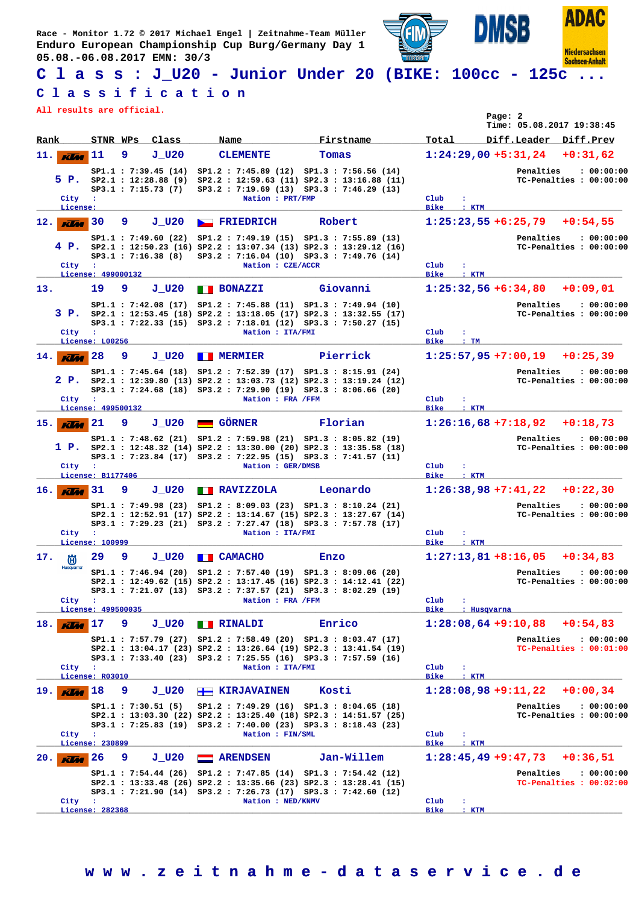

# **C l a s s : J\_U20 - Junior Under 20 (BIKE: 100cc - 125c ...**

### **C l a s s i f i c a t i o n**

**All results are official.**

|                           |                                                               |                                                   |                                                                                                                                                                                                                  |                          | Page: 2<br>Time: 05.08.2017 19:38:45                                                                |
|---------------------------|---------------------------------------------------------------|---------------------------------------------------|------------------------------------------------------------------------------------------------------------------------------------------------------------------------------------------------------------------|--------------------------|-----------------------------------------------------------------------------------------------------|
| Rank                      | Class<br>STNR WPs                                             | Name                                              | Firstname                                                                                                                                                                                                        | Total                    | Diff.Leader Diff.Prev                                                                               |
| 11.<br><b>KUM</b>         | 9<br>J U20<br>11                                              | <b>CLEMENTE</b>                                   | Tomas                                                                                                                                                                                                            |                          | $1:24:29,00 + 5:31,24$<br>$+0:31,62$                                                                |
| 5 P.<br>City<br>License:  | SP1.1 : 7:39.45 (14)<br>$SP3.1$ : 7:15.73 (7)<br>$\mathbf{H}$ | Nation : PRT/FMP                                  | SP1.2 : 7:45.89 (12) SP1.3 : 7:56.56 (14)<br>SP2.1: 12:28.88 (9) SP2.2: 12:59.63 (11) SP2.3: 13:16.88 (11)<br>SP3.2 : 7:19.69 (13) SP3.3 : 7:46.29 (13)                                                          | Club<br>÷<br><b>Bike</b> | Penalties<br>: 00:00:00<br>TC-Penalties : 00:00:00<br>: KTM                                         |
| $12.$ KVM                 | 30<br>9<br>$J$ $U20$                                          | <b>FRIEDRICH</b>                                  | Robert                                                                                                                                                                                                           |                          | $1:25:23,55+6:25,79$<br>$+0:54,55$                                                                  |
| City                      | $SP3.1$ : 7:16.38 (8)<br>$\cdot$ :<br>License: 499000132      | Nation : CZE/ACCR                                 | SP1.1: 7:49.60 (22) SP1.2: 7:49.19 (15) SP1.3: 7:55.89 (13)<br>4 P. $SP2.1$ : 12:50.23 (16) $SP2.2$ : 13:07.34 (13) $SP2.3$ : 13:29.12 (16)<br>SP3.2 : 7:16.04 (10) SP3.3 : 7:49.76 (14)                         | Club<br>÷<br><b>Bike</b> | Penalties<br>: 00:00:00<br>TC-Penalties : 00:00:00<br>: KTM                                         |
| 13.                       | 19<br>9<br>$J$ _U20                                           | <b>BONAZZI</b>                                    | Giovanni                                                                                                                                                                                                         |                          | $1:25:32,56 + 6:34,80$<br>$+0:09,01$                                                                |
| City                      | $\sim$ 100                                                    | Nation : ITA/FMI                                  | SP1.1: 7:42.08 (17) SP1.2: 7:45.88 (11) SP1.3: 7:49.94 (10)<br>3 P. SP2.1 : 12:53.45 (18) SP2.2 : 13:18.05 (17) SP2.3 : 13:32.55 (17)<br>SP3.1: 7:22.33 (15) SP3.2: 7:18.01 (12) SP3.3: 7:50.27 (15)             | Club<br>÷                | Penalties<br>: 00:00:00<br>TC-Penalties : 00:00:00                                                  |
|                           | License: L00256                                               |                                                   |                                                                                                                                                                                                                  | <b>Bike</b><br>:TM       |                                                                                                     |
| 14.<br><b>KLM</b><br>City | 28<br>$J_U20$<br>9<br>$\sim$ 100<br>License: 499500132        | <b>MERMIER</b><br><b>TTT</b><br>Nation : FRA /FFM | Pierrick<br>SP1.1: 7:45.64 (18) SP1.2: 7:52.39 (17) SP1.3: 8:15.91 (24)<br>2 P. SP2.1 : 12:39.80 (13) SP2.2 : 13:03.73 (12) SP2.3 : 13:19.24 (12)<br>SP3.1: 7:24.68 (18) SP3.2: 7:29.90 (19) SP3.3: 8:06.66 (20) | Club<br>÷<br><b>Bike</b> | $1:25:57,95+7:00,19$<br>$+0:25,39$<br>Penalties<br>: 00:00:00<br>TC-Penalties : 00:00:00<br>$:$ KTM |
| $15.$ KIM                 | 21<br>9<br>J U20                                              | <b>GÖRNER</b>                                     | Florian                                                                                                                                                                                                          |                          | $1:26:16,68 +7:18,92$<br>$+0:18,73$                                                                 |
| City                      | $\mathbf{r}$                                                  | Nation : GER/DMSB                                 | SP1.1: 7:48.62 (21) SP1.2: 7:59.98 (21) SP1.3: 8:05.82 (19)<br>1 P. $SP2.1: 12:48.32 (14) SP2.2: 13:30.00 (20) SP2.3: 13:35.58 (18)$<br>SP3.1: 7:23.84 (17) SP3.2: 7:22.95 (15) SP3.3: 7:41.57 (11)              | Club                     | Penalties<br>: 00:00:00<br>TC-Penalties : 00:00:00                                                  |
| $16.$ KM                  | License: B1177406<br>31<br>9<br>J U20                         | <b>EXAVIZZOLA</b>                                 | Leonardo                                                                                                                                                                                                         | <b>Bike</b>              | $:$ KTM<br>$1:26:38,98+7:41,22$<br>$+0:22,30$                                                       |
| City                      | $\mathbf{r}$<br>License: 100999                               | Nation : ITA/FMI                                  | SP1.1: 7:49.98 (23) SP1.2: 8:09.03 (23) SP1.3: 8:10.24 (21)<br>SP2.1: 12:52.91 (17) SP2.2: 13:14.67 (15) SP2.3: 13:27.67 (14)<br>SP3.1: 7:29.23 (21) SP3.2: 7:27.47 (18) SP3.3: 7:57.78 (17)                     | Club<br>÷<br><b>Bike</b> | Penalties<br>: 00:00:00<br>TC-Penalties : 00:00:00<br>: KTM                                         |
| 17.<br>偤                  | 29<br>9<br>$J$ $U20$                                          | <b>E CAMACHO</b>                                  | Enzo                                                                                                                                                                                                             |                          | $1:27:13,81+8:16,05$<br>$+0:34.83$                                                                  |
| <b>Husqvarna</b><br>City  | $\sim$ 1                                                      | Nation : FRA / FFM                                | SP1.1: 7:46.94 (20) SP1.2: 7:57.40 (19) SP1.3: 8:09.06 (20)<br>SP2.1 : 12:49.62 (15) SP2.2 : 13:17.45 (16) SP2.3 : 14:12.41 (22)<br>SP3.1: 7:21.07 (13) SP3.2: 7:37.57 (21) SP3.3: 8:02.29 (19)                  | Club<br>÷                | Penalties<br>: 00:00:00<br>TC-Penalties : 00:00:00                                                  |
| 18.<br><b>KIM</b>         | License: 499500035<br>17<br>9<br>$J$ $U20$                    | <b>TERESTALE</b>                                  | Enrico                                                                                                                                                                                                           | Bike                     | : Husqvarna<br>$1:28:08,64$ +9:10,88<br>$+0:54,83$                                                  |
| City :                    | License: R03010                                               | Nation : ITA/FMI                                  | SP1.1: 7:57.79 (27) SP1.2: 7:58.49 (20) SP1.3: 8:03.47 (17)<br>$SP2.1 : 13:04.17 (23) SP2.2 : 13:26.64 (19) SP2.3 : 13:41.54 (19)$<br>SP3.1: 7:33.40 (23) SP3.2: 7:25.55 (16) SP3.3: 7:57.59 (16)                | $_{\text{Club}}$<br>Bike | Penalties<br>: 00:00:00<br>TC-Penalties : 00:01:00<br>$:$ KTM                                       |
| 19.<br><b>KLAC</b>        | $J$ $U20$<br>18<br>9                                          | $\overline{H}$ KIRJAVAINEN                        | Kosti                                                                                                                                                                                                            |                          | $1:28:08,98$ +9:11,22<br>$+0:00,34$                                                                 |
| City :                    | SP1.1 : 7:30.51(5)<br>License: 230899                         | Nation : FIN/SML                                  | SP1.2: 7:49.29 (16) SP1.3: 8:04.65 (18)<br>SP2.1: 13:03.30 (22) SP2.2: 13:25.40 (18) SP2.3: 14:51.57 (25)<br>SP3.1: 7:25.83 (19) SP3.2: 7:40.00 (23) SP3.3: 8:18.43 (23)                                         | Club<br>÷<br><b>Bike</b> | Penalties<br>: 00:00:00<br>TC-Penalties : 00:00:00<br>$:$ KTM                                       |
| 20.<br><b>KLM</b>         | 26<br>9<br>$J$ $U20$                                          | <b>ARENDSEN</b>                                   | Jan-Willem                                                                                                                                                                                                       |                          | $1:28:45,49$ +9:47,73<br>$+0:36,51$                                                                 |
| City                      | $\mathbf{R}$<br>License: 282368                               | Nation : NED/KNMV                                 | SP1.1: 7:54.44 (26) SP1.2: 7:47.85 (14) SP1.3: 7:54.42 (12)<br>$SP2.1 : 13:33.48 (26) SP2.2 : 13:35.66 (23) SP2.3 : 13:28.41 (15)$<br>SP3.1: 7:21.90 (14) SP3.2: 7:26.73 (17) SP3.3: 7:42.60 (12)                | Club<br>÷<br><b>Bike</b> | Penalties<br>: 00:00:00<br>TC-Penalties : 00:02:00<br>: KTM                                         |
|                           |                                                               |                                                   |                                                                                                                                                                                                                  |                          |                                                                                                     |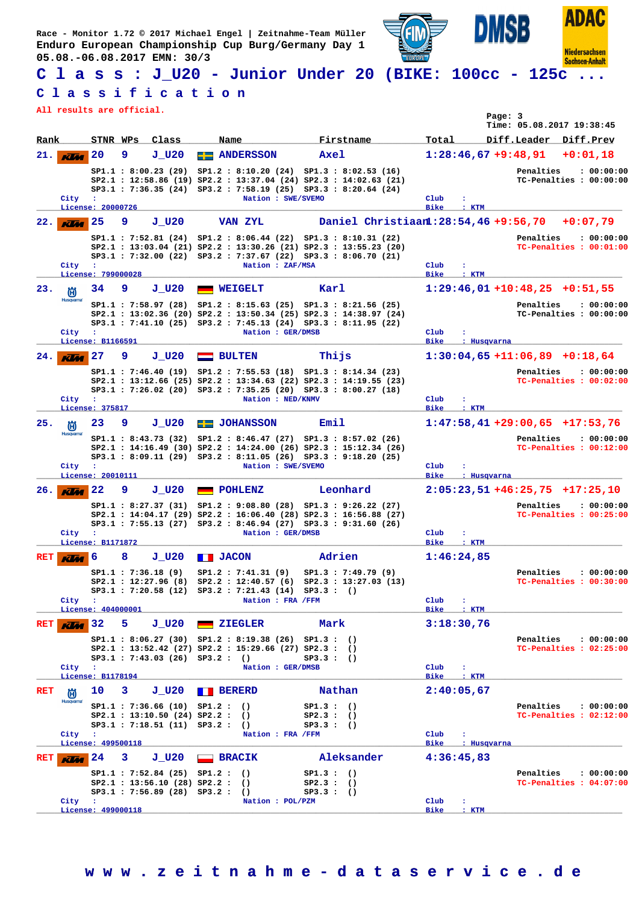

# **C l a s s : J\_U20 - Junior Under 20 (BIKE: 100cc - 125c ...**

### **C l a s s i f i c a t i o n**

**All results are official.**

| All results are official.      |                                                 |   |                                                                                                         |                       |                                                                                                                                              |                                      |                                                                                                                                                                                                   |                                      |              |                               | Page: 3 | Time: 05.08.2017 19:38:45       |                                                     |
|--------------------------------|-------------------------------------------------|---|---------------------------------------------------------------------------------------------------------|-----------------------|----------------------------------------------------------------------------------------------------------------------------------------------|--------------------------------------|---------------------------------------------------------------------------------------------------------------------------------------------------------------------------------------------------|--------------------------------------|--------------|-------------------------------|---------|---------------------------------|-----------------------------------------------------|
| Rank                           | STNR WPs                                        |   | Class                                                                                                   | Name                  |                                                                                                                                              |                                      | Firstname                                                                                                                                                                                         |                                      | Total        |                               |         | Diff.Leader Diff.Prev           |                                                     |
| 21.<br><b>KVM</b><br>City      | 20<br>$\ddot{\phantom{a}}$<br>License: 20000726 | 9 | J U20                                                                                                   |                       | <b>ANDERSSON</b><br>Nation : SWE/SVEMO                                                                                                       | Axel                                 | $SP1.1 : 8:00.23 (29) SP1.2 : 8:10.20 (24) SP1.3 : 8:02.53 (16)$<br>SP2.1: 12:58.86 (19) SP2.2: 13:37.04 (24) SP2.3: 14:02.63 (21)<br>SP3.1: 7:36.35 (24) SP3.2: 7:58.19 (25) SP3.3: 8:20.64 (24) | Club<br><b>Bike</b>                  | $\cdot$      | $1:28:46,67+9:48,91$<br>: KTM |         | Penalties                       | $+0:01.18$<br>: 00:00:00<br>TC-Penalties : 00:00:00 |
| 22.<br><b>KUM</b>              | 25                                              | 9 | J U20                                                                                                   |                       | <b>VAN ZYL</b>                                                                                                                               |                                      |                                                                                                                                                                                                   | Daniel Christiaan1:28:54,46 +9:56,70 |              |                               |         |                                 | $+0:07.79$                                          |
| City                           | $\sim$<br>License: 799000028                    |   |                                                                                                         |                       | Nation : ZAF/MSA                                                                                                                             |                                      | SP1.1: 7:52.81 (24) SP1.2: 8:06.44 (22) SP1.3: 8:10.31 (22)<br>SP2.1: 13:03.04 (21) SP2.2: 13:30.26 (21) SP2.3: 13:55.23 (20)<br>SP3.1: 7:32.00 (22) SP3.2: 7:37.67 (22) SP3.3: 8:06.70 (21)      | Club<br><b>Bike</b>                  | ÷            | $:$ KTM                       |         | Penalties                       | : 00:00:00<br>TC-Penalties : 00:01:00               |
| 23.<br>尚                       | 34                                              | 9 | J U20                                                                                                   | <b>WEIGELT</b>        |                                                                                                                                              | Karl                                 |                                                                                                                                                                                                   |                                      |              |                               |         | $1:29:46,01$ +10:48,25 +0:51,55 |                                                     |
| <b>Husqvarna</b><br>City :     | License: B1166591                               |   |                                                                                                         |                       | Nation : GER/DMSB                                                                                                                            |                                      | SP1.1: 7:58.97 (28) SP1.2: 8:15.63 (25) SP1.3: 8:21.56 (25)<br>SP2.1: 13:02.36 (20) SP2.2: 13:50.34 (25) SP2.3: 14:38.97 (24)<br>SP3.1: 7:41.10 (25) SP3.2: 7:45.13 (24) SP3.3: 8:11.95 (22)      | Club<br><b>Bike</b>                  |              | : Husqvarna                   |         | Penalties                       | : 00:00:00<br>TC-Penalties : 00:00:00               |
| 24.<br><b>KLA</b>              | 27                                              | 9 | J U20                                                                                                   | $\equiv$              | <b>BULTEN</b>                                                                                                                                |                                      | Thijs                                                                                                                                                                                             |                                      |              |                               |         | $1:30:04,65$ +11:06,89 +0:18,64 |                                                     |
| City :                         | License: 375817                                 |   |                                                                                                         |                       | Nation : NED/KNMV                                                                                                                            |                                      | SP1.1: 7:46.40 (19) SP1.2: 7:55.53 (18) SP1.3: 8:14.34 (23)<br>SP2.1: 13:12.66 (25) SP2.2: 13:34.63 (22) SP2.3: 14:19.55 (23)<br>SP3.1: 7:26.02 (20) SP3.2: 7:35.25 (20) SP3.3: 8:00.27 (18)      | Club<br><b>Bike</b>                  |              | $:$ KTM                       |         | Penalties                       | : 00:00:00<br>TC-Penalties : 00:02:00               |
| 25.<br>倘                       | 23                                              | 9 | J U20                                                                                                   |                       | <b>EE</b> JOHANSSON                                                                                                                          | Emil                                 |                                                                                                                                                                                                   |                                      |              |                               |         |                                 | $1:47:58,41$ +29:00,65 +17:53,76                    |
| <b>Husqvarna</b><br>City :     | License: 20010111                               |   |                                                                                                         |                       | Nation : SWE/SVEMO                                                                                                                           |                                      | SP1.1: 8:43.73 (32) SP1.2: 8:46.47 (27) SP1.3: 8:57.02 (26)<br>SP2.1: 14:16.49 (30) SP2.2: 14:24.00 (26) SP2.3: 15:12.34 (26)<br>SP3.1: 8:09.11 (29) SP3.2: 8:11.05 (26) SP3.3: 9:18.20 (25)      | Club<br><b>Bike</b>                  |              | : Husqvarna                   |         | Penalties                       | : 00:00:00<br>TC-Penalties : 00:12:00               |
| $K$ $\overline{M}$ $22$<br>26. |                                                 | 9 | J U20                                                                                                   |                       | <b>POHLENZ</b>                                                                                                                               |                                      | Leonhard                                                                                                                                                                                          |                                      |              |                               |         |                                 | $2:05:23,51+46:25,75+17:25,10$                      |
| City                           | $\cdot$<br>License: B1171872                    |   |                                                                                                         |                       | Nation : GER/DMSB                                                                                                                            |                                      | SP1.1: 8:27.37 (31) SP1.2: 9:08.80 (28) SP1.3: 9:26.22 (27)<br>SP2.1 : 14:04.17 (29) SP2.2 : 16:06.40 (28) SP2.3 : 16:56.88 (27)<br>SP3.1: 7:55.13 (27) SP3.2: 8:46.94 (27) SP3.3: 9:31.60 (26)   | Club<br><b>Bike</b>                  | ÷            | : KTM                         |         | Penalties                       | : 00:00:00<br>TC-Penalties : 00:25:00               |
| RET<br><b>KV</b> a             | l 6                                             | 8 | J U20                                                                                                   | <b>TELESCON</b>       |                                                                                                                                              |                                      | Adrien                                                                                                                                                                                            |                                      | 1:46:24,85   |                               |         |                                 |                                                     |
| City :                         | License: 404000001                              |   | SP1.1 : 7:36.18(9)                                                                                      |                       | SP1.2 : 7:41.31 (9)<br>$SP2.1 : 12:27.96 (8) SP2.2 : 12:40.57 (6)$<br>SP3.1: 7:20.58 (12) SP3.2: 7:21.43 (14) SP3.3: ()<br>Nation : FRA /FFM |                                      | SP1.3 : 7:49.79(9)<br>SP2.3 : 13:27.03 (13)                                                                                                                                                       | Club<br><b>Bike</b>                  | ÷            |                               |         | Penalties                       | : 00:00:00<br>TC-Penalties : 00:30:00               |
| RET<br><b>Kiki</b>             | 32                                              | 5 | J U20                                                                                                   | <b>ZIEGLER</b>        |                                                                                                                                              | Mark                                 |                                                                                                                                                                                                   |                                      | 3:18:30,76   | $:$ KTM                       |         |                                 |                                                     |
| City :                         | License: B1178194                               |   | SP3.1 : 7:43.03 (26) SP3.2 : ()                                                                         |                       | $SP1.1 : 8:06.27 (30) SP1.2 : 8:19.38 (26) SP1.3 : ()$<br>$SP2.1 : 13:52.42 (27) SP2.2 : 15:29.66 (27) SP2.3 : ()$<br>Nation : GER/DMSB      | SP3.3:()                             |                                                                                                                                                                                                   | Club<br>Bike                         | $\mathbf{r}$ | : KTM                         |         | Penalties                       | : 00:00:00<br>TC-Penalties : 02:25:00               |
| <b>RET</b><br>偤                | 10                                              | 3 | $J$ $U20$                                                                                               | <b>BERERD</b>         |                                                                                                                                              |                                      | Nathan                                                                                                                                                                                            |                                      | 2:40:05,67   |                               |         |                                 |                                                     |
| <b>Husqvarna</b><br>City :     | License: 499500118                              |   | SP1.1 : 7:36.66(10) SP1.2:()<br>SP2.1 : 13:10.50 (24) SP2.2 : ()<br>$SP3.1$ : 7:18.51 (11) $SP3.2$ : () |                       | Nation : FRA /FFM                                                                                                                            | SP1.3:()<br>SP2.3:()<br>$SP3.3$ : () |                                                                                                                                                                                                   | Club                                 |              | Bike : Husqvarna              |         | Penalties                       | : 00:00:00<br>TC-Penalties : 02:12:00               |
| RET<br><b>KVM</b>              | 24                                              | 3 | J U20                                                                                                   | $\blacksquare$ BRACIK |                                                                                                                                              |                                      | Aleksander                                                                                                                                                                                        |                                      | 4:36:45,83   |                               |         |                                 |                                                     |
| City :                         | License: 499000118                              |   | SP1.1 : 7:52.84 (25) SP1.2 : ()<br>SP2.1 : 13:56.10 (28) SP2.2 : ()<br>SP3.1 : 7:56.89 (28) SP3.2 : ()  |                       | Nation : POL/PZM                                                                                                                             | SP1.3:()<br>SP2.3:()<br>SP3.3:()     |                                                                                                                                                                                                   | Club<br>Bike                         | ÷            | $:$ KTM                       |         | Penalties                       | : 00:00:00<br>TC-Penalties : 04:07:00               |